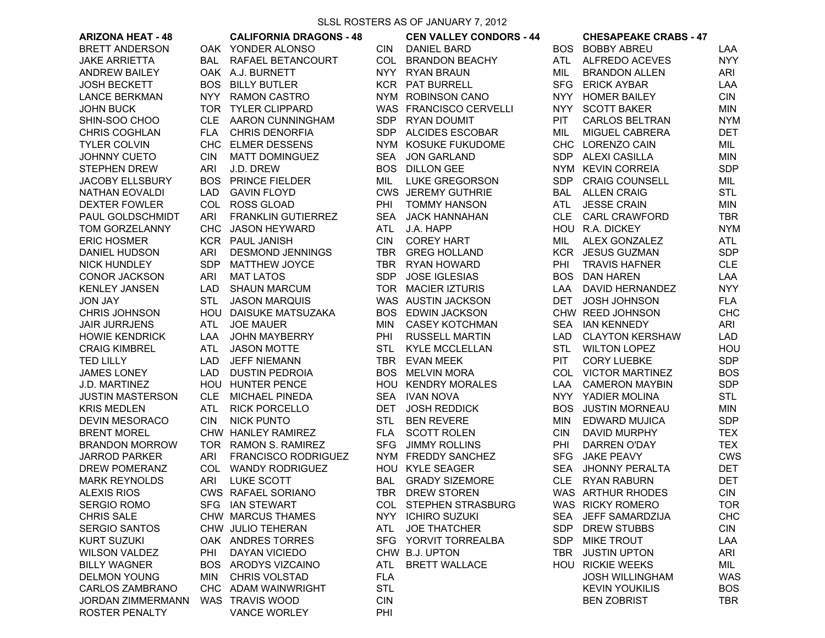## SLSL ROSTERS AS OF JANUARY 7, 2012

| <b>ARIZONA HEAT - 48</b> |            | <b>CALIFORNIA DRAGONS - 48</b> |            | <b>CEN VALLEY CONDORS - 44</b> |            | <b>CHESAPEAKE CRABS - 47</b> |            |
|--------------------------|------------|--------------------------------|------------|--------------------------------|------------|------------------------------|------------|
| <b>BRETT ANDERSON</b>    |            | OAK YONDER ALONSO              | <b>CIN</b> | <b>DANIEL BARD</b>             |            | <b>BOS BOBBY ABREU</b>       | LAA        |
| <b>JAKE ARRIETTA</b>     | <b>BAL</b> | RAFAEL BETANCOURT              | COL        | <b>BRANDON BEACHY</b>          | ATL        | ALFREDO ACEVES               | <b>NYY</b> |
| <b>ANDREW BAILEY</b>     |            | OAK A.J. BURNETT               | <b>NYY</b> | RYAN BRAUN                     | MIL        | <b>BRANDON ALLEN</b>         | ARI        |
| <b>JOSH BECKETT</b>      | <b>BOS</b> | <b>BILLY BUTLER</b>            |            | KCR PAT BURRELL                | <b>SFG</b> | <b>ERICK AYBAR</b>           | LAA        |
| <b>LANCE BERKMAN</b>     | <b>NYY</b> | <b>RAMON CASTRO</b>            |            | NYM ROBINSON CANO              | <b>NYY</b> | <b>HOMER BAILEY</b>          | <b>CIN</b> |
| <b>JOHN BUCK</b>         |            | TOR TYLER CLIPPARD             |            | WAS FRANCISCO CERVELLI         |            | NYY SCOTT BAKER              | <b>MIN</b> |
| SHIN-SOO CHOO            |            | CLE AARON CUNNINGHAM           |            | SDP RYAN DOUMIT                | PIT.       | <b>CARLOS BELTRAN</b>        | <b>NYM</b> |
| <b>CHRIS COGHLAN</b>     | <b>FLA</b> | <b>CHRIS DENORFIA</b>          |            | SDP ALCIDES ESCOBAR            | MIL        | MIGUEL CABRERA               | DET        |
| <b>TYLER COLVIN</b>      | <b>CHC</b> | <b>ELMER DESSENS</b>           |            | NYM KOSUKE FUKUDOME            |            | CHC LORENZO CAIN             | MIL        |
| <b>JOHNNY CUETO</b>      | <b>CIN</b> | <b>MATT DOMINGUEZ</b>          | SEA        | JON GARLAND                    |            | SDP ALEXI CASILLA            | MIN        |
| <b>STEPHEN DREW</b>      | ARI        | J.D. DREW                      |            | <b>BOS DILLON GEE</b>          |            | NYM KEVIN CORREIA            | <b>SDP</b> |
| <b>JACOBY ELLSBURY</b>   | <b>BOS</b> | PRINCE FIELDER                 | MIL        | <b>LUKE GREGORSON</b>          | <b>SDP</b> | <b>CRAIG COUNSELL</b>        | MIL        |
| <b>NATHAN EOVALDI</b>    | LAD        | <b>GAVIN FLOYD</b>             |            | <b>CWS JEREMY GUTHRIE</b>      | <b>BAL</b> | <b>ALLEN CRAIG</b>           | <b>STL</b> |
| <b>DEXTER FOWLER</b>     | COL        | <b>ROSS GLOAD</b>              | PHI        | <b>TOMMY HANSON</b>            | ATL        | <b>JESSE CRAIN</b>           | <b>MIN</b> |
| PAUL GOLDSCHMIDT         | ARI        | <b>FRANKLIN GUTIERREZ</b>      | <b>SEA</b> | <b>JACK HANNAHAN</b>           | <b>CLE</b> | <b>CARL CRAWFORD</b>         | <b>TBR</b> |
| TOM GORZELANNY           | <b>CHC</b> | <b>JASON HEYWARD</b>           | ATL        | J.A. HAPP                      |            | HOU R.A. DICKEY              | <b>NYM</b> |
| <b>ERIC HOSMER</b>       |            | <b>KCR PAUL JANISH</b>         | <b>CIN</b> | <b>COREY HART</b>              | MIL        | ALEX GONZALEZ                | ATL        |
| DANIEL HUDSON            | ARI        | <b>DESMOND JENNINGS</b>        | TBR        | <b>GREG HOLLAND</b>            |            | KCR JESUS GUZMAN             | <b>SDP</b> |
| <b>NICK HUNDLEY</b>      | <b>SDP</b> | <b>MATTHEW JOYCE</b>           |            | TBR RYAN HOWARD                | PHI        | <b>TRAVIS HAFNER</b>         | <b>CLE</b> |
| <b>CONOR JACKSON</b>     | ARI        | <b>MAT LATOS</b>               | <b>SDP</b> | <b>JOSE IGLESIAS</b>           |            | <b>BOS DAN HAREN</b>         | LAA        |
| <b>KENLEY JANSEN</b>     | LAD        | <b>SHAUN MARCUM</b>            |            | TOR MACIER IZTURIS             | LAA        | <b>DAVID HERNANDEZ</b>       | <b>NYY</b> |
| <b>JON JAY</b>           | <b>STL</b> | <b>JASON MARQUIS</b>           |            | WAS AUSTIN JACKSON             | DET        | <b>JOSH JOHNSON</b>          | <b>FLA</b> |
| <b>CHRIS JOHNSON</b>     |            | HOU DAISUKE MATSUZAKA          | <b>BOS</b> | <b>EDWIN JACKSON</b>           |            | CHW REED JOHNSON             | <b>CHC</b> |
| <b>JAIR JURRJENS</b>     | ATL        | <b>JOE MAUER</b>               | MIN        | <b>CASEY KOTCHMAN</b>          |            | SEA IAN KENNEDY              | ARI        |
| <b>HOWIE KENDRICK</b>    | LAA        | <b>JOHN MAYBERRY</b>           | PHI        | <b>RUSSELL MARTIN</b>          | LAD        | <b>CLAYTON KERSHAW</b>       | LAD        |
| <b>CRAIG KIMBREL</b>     | ATL        | <b>JASON MOTTE</b>             | STL        | <b>KYLE MCCLELLAN</b>          | <b>STL</b> | <b>WILTON LOPEZ</b>          | HOU        |
| <b>TED LILLY</b>         | LAD        | <b>JEFF NIEMANN</b>            | TBR        | <b>EVAN MEEK</b>               | <b>PIT</b> | <b>CORY LUEBKE</b>           | <b>SDP</b> |
| <b>JAMES LONEY</b>       | LAD        | <b>DUSTIN PEDROIA</b>          | <b>BOS</b> | <b>MELVIN MORA</b>             |            | COL VICTOR MARTINEZ          | <b>BOS</b> |
| J.D. MARTINEZ            | HOU        | <b>HUNTER PENCE</b>            |            | HOU KENDRY MORALES             | LAA.       | <b>CAMERON MAYBIN</b>        | <b>SDP</b> |
| <b>JUSTIN MASTERSON</b>  | <b>CLE</b> | <b>MICHAEL PINEDA</b>          | SEA        | <b>IVAN NOVA</b>               | <b>NYY</b> | YADIER MOLINA                | <b>STL</b> |
| <b>KRIS MEDLEN</b>       | <b>ATL</b> | <b>RICK PORCELLO</b>           | <b>DET</b> | <b>JOSH REDDICK</b>            | <b>BOS</b> | <b>JUSTIN MORNEAU</b>        | <b>MIN</b> |
| <b>DEVIN MESORACO</b>    | <b>CIN</b> | <b>NICK PUNTO</b>              | STL        | <b>BEN REVERE</b>              | <b>MIN</b> | <b>EDWARD MUJICA</b>         | <b>SDP</b> |
| <b>BRENT MOREL</b>       |            | CHW HANLEY RAMIREZ             | <b>FLA</b> | <b>SCOTT ROLEN</b>             | <b>CIN</b> | DAVID MURPHY                 | <b>TEX</b> |
| <b>BRANDON MORROW</b>    | TOR        | <b>RAMON S. RAMIREZ</b>        | SFG        | <b>JIMMY ROLLINS</b>           | PHI        | <b>DARREN O'DAY</b>          | <b>TEX</b> |
| <b>JARROD PARKER</b>     | ARI        | <b>FRANCISCO RODRIGUEZ</b>     |            | NYM FREDDY SANCHEZ             | <b>SFG</b> | <b>JAKE PEAVY</b>            | <b>CWS</b> |
| DREW POMERANZ            | COL        | <b>WANDY RODRIGUEZ</b>         |            | HOU KYLE SEAGER                | <b>SEA</b> | <b>JHONNY PERALTA</b>        | DET        |
| <b>MARK REYNOLDS</b>     | ARI        | LUKE SCOTT                     | BAL        | <b>GRADY SIZEMORE</b>          | <b>CLE</b> | <b>RYAN RABURN</b>           | <b>DET</b> |
| <b>ALEXIS RIOS</b>       |            | <b>CWS RAFAEL SORIANO</b>      |            | TBR DREW STOREN                |            | WAS ARTHUR RHODES            | <b>CIN</b> |
| <b>SERGIO ROMO</b>       |            | SFG IAN STEWART                |            | COL STEPHEN STRASBURG          |            | WAS RICKY ROMERO             | TOR        |
| <b>CHRIS SALE</b>        |            | CHW MARCUS THAMES              |            | NYY ICHIRO SUZUKI              | <b>SEA</b> | JEFF SAMARDZIJA              | <b>CHC</b> |
| <b>SERGIO SANTOS</b>     |            | CHW JULIO TEHERAN              | ATL.       | <b>JOE THATCHER</b>            | <b>SDP</b> | <b>DREW STUBBS</b>           | <b>CIN</b> |
| <b>KURT SUZUKI</b>       |            | OAK ANDRES TORRES              |            | SFG YORVIT TORREALBA           | <b>SDP</b> | <b>MIKE TROUT</b>            | LAA        |
| <b>WILSON VALDEZ</b>     | PHI        | DAYAN VICIEDO                  |            | CHW B.J. UPTON                 | TBR        | <b>JUSTIN UPTON</b>          | ARI        |
| <b>BILLY WAGNER</b>      |            | BOS ARODYS VIZCAINO            | ATL        | <b>BRETT WALLACE</b>           |            | <b>HOU RICKIE WEEKS</b>      | MIL        |
| <b>DELMON YOUNG</b>      | MIN        | CHRIS VOLSTAD                  | <b>FLA</b> |                                |            | <b>JOSH WILLINGHAM</b>       | <b>WAS</b> |
| <b>CARLOS ZAMBRANO</b>   |            | CHC ADAM WAINWRIGHT            | <b>STL</b> |                                |            | <b>KEVIN YOUKILIS</b>        | <b>BOS</b> |
| <b>JORDAN ZIMMERMANN</b> |            | WAS TRAVIS WOOD                | <b>CIN</b> |                                |            | <b>BEN ZOBRIST</b>           | TBR        |
| <b>ROSTER PENALTY</b>    |            | <b>VANCE WORLEY</b>            | PHI        |                                |            |                              |            |
|                          |            |                                |            |                                |            |                              |            |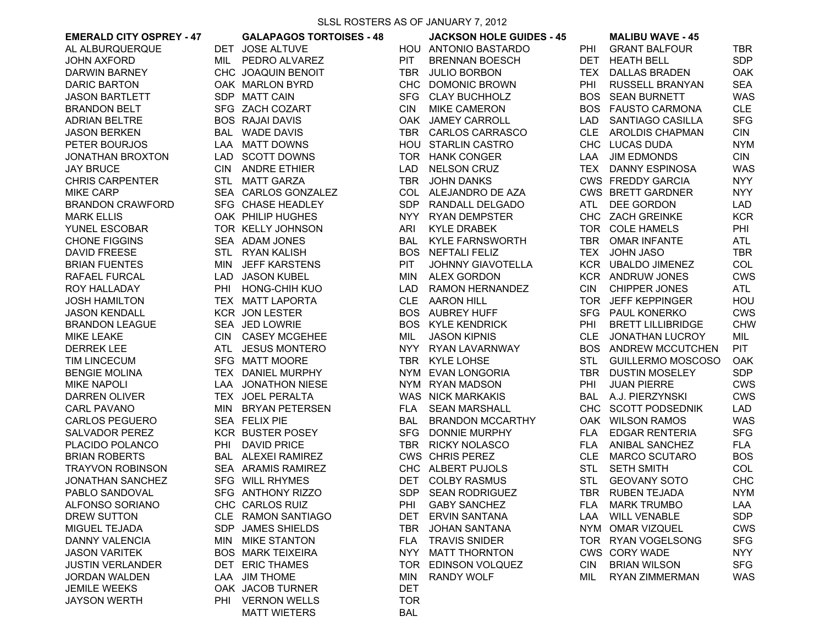| <b>EMERALD CITY OSPREY - 47</b> |     | <b>GALAPAGOS TORTOISES - 48</b> |            | <b>JACKSON HOLE GUIDES - 45</b> |            | <b>MALIBU WAVE - 45</b>     |            |
|---------------------------------|-----|---------------------------------|------------|---------------------------------|------------|-----------------------------|------------|
| AL ALBURQUERQUE                 |     | DET JOSE ALTUVE                 |            | HOU ANTONIO BASTARDO            | PHI        | <b>GRANT BALFOUR</b>        | TBR        |
| <b>JOHN AXFORD</b>              |     | MIL PEDRO ALVAREZ               | PIT        | <b>BRENNAN BOESCH</b>           | DET        | <b>HEATH BELL</b>           | <b>SDP</b> |
| DARWIN BARNEY                   |     | CHC JOAQUIN BENOIT              | TBR        | <b>JULIO BORBON</b>             | TEX        | <b>DALLAS BRADEN</b>        | <b>OAK</b> |
| <b>DARIC BARTON</b>             |     | OAK MARLON BYRD                 |            | CHC DOMONIC BROWN               | PHI        | RUSSELL BRANYAN             | <b>SEA</b> |
| <b>JASON BARTLETT</b>           |     | SDP MATT CAIN                   |            | SFG CLAY BUCHHOLZ               | <b>BOS</b> | <b>SEAN BURNETT</b>         | <b>WAS</b> |
| <b>BRANDON BELT</b>             |     | SFG ZACH COZART                 | <b>CIN</b> | <b>MIKE CAMERON</b>             | BOS.       | <b>FAUSTO CARMONA</b>       | <b>CLE</b> |
| <b>ADRIAN BELTRE</b>            |     | <b>BOS RAJAI DAVIS</b>          |            | OAK JAMEY CARROLL               | LAD.       | SANTIAGO CASILLA            | <b>SFG</b> |
| <b>JASON BERKEN</b>             |     | <b>BAL WADE DAVIS</b>           | TBR        | <b>CARLOS CARRASCO</b>          | <b>CLE</b> | <b>AROLDIS CHAPMAN</b>      | <b>CIN</b> |
| PETER BOURJOS                   |     | LAA MATT DOWNS                  |            | HOU STARLIN CASTRO              |            | CHC LUCAS DUDA              | <b>NYM</b> |
| <b>JONATHAN BROXTON</b>         |     | LAD SCOTT DOWNS                 |            | TOR HANK CONGER                 | LAA        | <b>JIM EDMONDS</b>          | <b>CIN</b> |
| <b>JAY BRUCE</b>                |     | CIN ANDRE ETHIER                | LAD        | <b>NELSON CRUZ</b>              |            | TEX DANNY ESPINOSA          | <b>WAS</b> |
| <b>CHRIS CARPENTER</b>          |     | STL MATT GARZA                  |            | TBR JOHN DANKS                  |            | CWS FREDDY GARCIA           | <b>NYY</b> |
| <b>MIKE CARP</b>                |     | SEA CARLOS GONZALEZ             |            | COL ALEJANDRO DE AZA            |            | <b>CWS BRETT GARDNER</b>    | <b>NYY</b> |
| <b>BRANDON CRAWFORD</b>         |     | SFG CHASE HEADLEY               |            | SDP RANDALL DELGADO             | ATL        | DEE GORDON                  | LAD        |
| <b>MARK ELLIS</b>               |     | OAK PHILIP HUGHES               | NYY .      | <b>RYAN DEMPSTER</b>            |            | CHC ZACH GREINKE            | <b>KCR</b> |
| YUNEL ESCOBAR                   |     | TOR KELLY JOHNSON               | ARI        | KYLE DRABEK                     |            | TOR COLE HAMELS             | PHI        |
| <b>CHONE FIGGINS</b>            |     | SEA ADAM JONES                  | BAL        | <b>KYLE FARNSWORTH</b>          |            | TBR OMAR INFANTE            | ATL        |
| <b>DAVID FREESE</b>             |     | STL RYAN KALISH                 | <b>BOS</b> | NEFTALI FELIZ                   | TEX        | <b>JOHN JASO</b>            | TBR        |
| <b>BRIAN FUENTES</b>            | MIN | <b>JEFF KARSTENS</b>            | PIT        | <b>JOHNNY GIAVOTELLA</b>        |            | KCR UBALDO JIMENEZ          | COL        |
| RAFAEL FURCAL                   |     | LAD JASON KUBEL                 | <b>MIN</b> | <b>ALEX GORDON</b>              |            | KCR ANDRUW JONES            | <b>CWS</b> |
| ROY HALLADAY                    | PHI | <b>HONG-CHIH KUO</b>            | <b>LAD</b> | <b>RAMON HERNANDEZ</b>          | <b>CIN</b> | <b>CHIPPER JONES</b>        | ATL        |
| <b>JOSH HAMILTON</b>            |     | TEX MATT LAPORTA                |            | CLE AARON HILL                  | TOR.       | <b>JEFF KEPPINGER</b>       | HOU        |
| <b>JASON KENDALL</b>            |     | <b>KCR JON LESTER</b>           |            | <b>BOS AUBREY HUFF</b>          | <b>SFG</b> | <b>PAUL KONERKO</b>         | <b>CWS</b> |
| <b>BRANDON LEAGUE</b>           |     | SEA JED LOWRIE                  |            | <b>BOS KYLE KENDRICK</b>        | PHI        | <b>BRETT LILLIBRIDGE</b>    | <b>CHW</b> |
| <b>MIKE LEAKE</b>               |     | CIN CASEY MCGEHEE               | MIL        | <b>JASON KIPNIS</b>             |            | CLE JONATHAN LUCROY         | MIL        |
| <b>DERREK LEE</b>               |     | ATL JESUS MONTERO               |            | NYY RYAN LAVARNWAY              |            | <b>BOS ANDREW MCCUTCHEN</b> | <b>PIT</b> |
| <b>TIM LINCECUM</b>             |     | SFG MATT MOORE                  |            | TBR KYLE LOHSE                  | STL        | <b>GUILLERMO MOSCOSO</b>    | <b>OAK</b> |
| <b>BENGIE MOLINA</b>            |     | TEX DANIEL MURPHY               |            | NYM EVAN LONGORIA               | TBR        | <b>DUSTIN MOSELEY</b>       | <b>SDP</b> |
| <b>MIKE NAPOLI</b>              |     | LAA JONATHON NIESE              |            | NYM RYAN MADSON                 | PHI        | <b>JUAN PIERRE</b>          | <b>CWS</b> |
| <b>DARREN OLIVER</b>            |     | TEX JOEL PERALTA                |            | <b>WAS NICK MARKAKIS</b>        | BAL        | A.J. PIERZYNSKI             | <b>CWS</b> |
| <b>CARL PAVANO</b>              |     | MIN BRYAN PETERSEN              | <b>FLA</b> | <b>SEAN MARSHALL</b>            |            | CHC SCOTT PODSEDNIK         | LAD        |
| <b>CARLOS PEGUERO</b>           |     | SEA FELIX PIE                   | <b>BAL</b> | <b>BRANDON MCCARTHY</b>         |            | OAK WILSON RAMOS            | <b>WAS</b> |
| <b>SALVADOR PEREZ</b>           |     | <b>KCR BUSTER POSEY</b>         | <b>SFG</b> | <b>DONNIE MURPHY</b>            | <b>FLA</b> | <b>EDGAR RENTERIA</b>       | <b>SFG</b> |
| PLACIDO POLANCO                 | PHI | <b>DAVID PRICE</b>              | TBR        | <b>RICKY NOLASCO</b>            | <b>FLA</b> | <b>ANIBAL SANCHEZ</b>       | <b>FLA</b> |
| <b>BRIAN ROBERTS</b>            |     | <b>BAL ALEXEI RAMIREZ</b>       |            | <b>CWS CHRIS PEREZ</b>          |            | CLE MARCO SCUTARO           | <b>BOS</b> |
| <b>TRAYVON ROBINSON</b>         |     | SEA ARAMIS RAMIREZ              |            | CHC ALBERT PUJOLS               | <b>STL</b> | <b>SETH SMITH</b>           | COL        |
| JONATHAN SANCHEZ                |     | SFG WILL RHYMES                 | <b>DET</b> | <b>COLBY RASMUS</b>             | STL        | <b>GEOVANY SOTO</b>         | <b>CHC</b> |
| PABLO SANDOVAL                  |     | SFG ANTHONY RIZZO               | <b>SDP</b> | <b>SEAN RODRIGUEZ</b>           |            | TBR RUBEN TEJADA            | <b>NYM</b> |
| ALFONSO SORIANO                 |     | CHC CARLOS RUIZ                 | PHI        | <b>GABY SANCHEZ</b>             | FLA        | <b>MARK TRUMBO</b>          | LAA        |
| DREW SUTTON                     |     | CLE RAMON SANTIAGO              | DET        | <b>ERVIN SANTANA</b>            | LAA        | <b>WILL VENABLE</b>         | <b>SDP</b> |
| MIGUEL TEJADA                   |     | SDP JAMES SHIELDS               | TBR        | JOHAN SANTANA                   |            | NYM OMAR VIZQUEL            | <b>CWS</b> |
| <b>DANNY VALENCIA</b>           |     | MIN MIKE STANTON                | <b>FLA</b> | <b>TRAVIS SNIDER</b>            |            | TOR RYAN VOGELSONG          | <b>SFG</b> |
| <b>JASON VARITEK</b>            |     | <b>BOS MARK TEIXEIRA</b>        | NYY        | <b>MATT THORNTON</b>            |            | <b>CWS CORY WADE</b>        | <b>NYY</b> |
| <b>JUSTIN VERLANDER</b>         |     | DET ERIC THAMES                 |            | TOR EDINSON VOLQUEZ             | <b>CIN</b> | <b>BRIAN WILSON</b>         | <b>SFG</b> |
| <b>JORDAN WALDEN</b>            |     | LAA JIM THOME                   | MIN        | <b>RANDY WOLF</b>               | MIL        | <b>RYAN ZIMMERMAN</b>       | <b>WAS</b> |
| <b>JEMILE WEEKS</b>             |     | OAK JACOB TURNER                | <b>DET</b> |                                 |            |                             |            |
| <b>JAYSON WERTH</b>             | PHI | <b>VERNON WELLS</b>             | <b>TOR</b> |                                 |            |                             |            |
|                                 |     | <b>MATT WIETERS</b>             | <b>BAL</b> |                                 |            |                             |            |